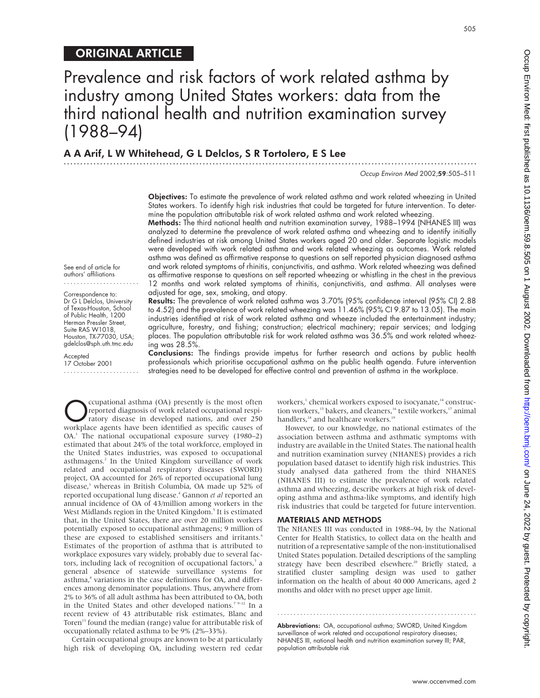# ORIGINAL ARTICLE

See end of article for authors' affiliations ....................... Correspondence to: Dr G L Delclos, University of Texas-Houston, School of Public Health, 1200 Herman Pressler Street, Suite RAS W1018, Houston, TX-77030, USA; gdelclos@sph.uth.tmc.edu

Accepted 17 October 2001 .......................

# Prevalence and risk factors of work related asthma by industry among United States workers: data from the third national health and nutrition examination survey (1988–94)

#### A A Arif, L W Whitehead, G L Delclos, S R Tortolero, E S Lee .............................................................................................................................

Occup Environ Med 2002;59:505–511

Objectives: To estimate the prevalence of work related asthma and work related wheezing in United States workers. To identify high risk industries that could be targeted for future intervention. To determine the population attributable risk of work related asthma and work related wheezing.

Methods: The third national health and nutrition examination survey, 1988–1994 (NHANES III) was analyzed to determine the prevalence of work related asthma and wheezing and to identify initially defined industries at risk among United States workers aged 20 and older. Separate logistic models were developed with work related asthma and work related wheezing as outcomes. Work related asthma was defined as affirmative response to questions on self reported physician diagnosed asthma and work related symptoms of rhinitis, conjunctivitis, and asthma. Work related wheezing was defined as affirmative response to questions on self reported wheezing or whistling in the chest in the previous 12 months and work related symptoms of rhinitis, conjunctivitis, and asthma. All analyses were adjusted for age, sex, smoking, and atopy.

Results: The prevalence of work related asthma was 3.70% (95% confidence interval (95% CI) 2.88 to 4.52) and the prevalence of work related wheezing was 11.46% (95% CI 9.87 to 13.05). The main industries identified at risk of work related asthma and wheeze included the entertainment industry; agriculture, forestry, and fishing; construction; electrical machinery; repair services; and lodging places. The population attributable risk for work related asthma was 36.5% and work related wheezing was 28.5%.

Conclusions: The findings provide impetus for further research and actions by public health professionals which prioritise occupational asthma on the public health agenda. Future intervention strategies need to be developed for effective control and prevention of asthma in the workplace.

Compational asthma (OA) presently is the most often<br>reported diagnosis of work related occupational respiratory disease in developed nations, and over 250<br>workplace agents have been identified as specific causes of reported diagnosis of work related occupational respiratory disease in developed nations, and over 250 workplace agents have been identified as specific causes of OA.<sup>1</sup> The national occupational exposure survey (1980–2) estimated that about 24% of the total workforce, employed in the United States industries, was exposed to occupational asthmagens.<sup>2</sup> In the United Kingdom surveillance of work related and occupational respiratory diseases (SWORD) project, OA accounted for 26% of reported occupational lung disease,<sup>3</sup> whereas in British Columbia, OA made up 52% of reported occupational lung disease.4 Gannon *et al* reported an annual incidence of OA of 43/million among workers in the West Midlands region in the United Kingdom.<sup>5</sup> It is estimated that, in the United States, there are over 20 million workers potentially exposed to occupational asthmagens; 9 million of these are exposed to established sensitisers and irritants.<sup>6</sup> Estimates of the proportion of asthma that is attributed to workplace exposures vary widely, probably due to several factors, including lack of recognition of occupational factors,<sup>7</sup> a general absence of statewide surveillance systems for asthma,<sup>8</sup> variations in the case definitions for OA, and differences among denominator populations. Thus, anywhere from 2% to 36% of all adult asthma has been attributed to OA, both in the United States and other developed nations.<sup>7 9–12</sup> In a recent review of 43 attributable risk estimates, Blanc and Toren<sup>13</sup> found the median (range) value for attributable risk of occupationally related asthma to be 9% (2%–33%).

Certain occupational groups are known to be at particularly high risk of developing OA, including western red cedar workers,<sup>1</sup> chemical workers exposed to isocyanate,<sup>14</sup> construction workers,<sup>15</sup> bakers, and cleaners,<sup>16</sup> textile workers,<sup>17</sup> animal handlers,<sup>18</sup> and healthcare workers.<sup>19</sup>

However, to our knowledge, no national estimates of the association between asthma and asthmatic symptoms with industry are available in the United States. The national health and nutrition examination survey (NHANES) provides a rich population based dataset to identify high risk industries. This study analysed data gathered from the third NHANES (NHANES III) to estimate the prevalence of work related asthma and wheezing, describe workers at high risk of developing asthma and asthma-like symptoms, and identify high risk industries that could be targeted for future intervention.

#### MATERIALS AND METHODS

The NHANES III was conducted in 1988–94, by the National Center for Health Statistics, to collect data on the health and nutrition of a representative sample of the non-institutionalised United States population. Detailed descriptions of the sampling strategy have been described elsewhere.<sup>20</sup> Briefly stated, a stratified cluster sampling design was used to gather information on the health of about 40 000 Americans, aged 2 months and older with no preset upper age limit.

Abbreviations: OA, occupational asthma; SWORD, United Kingdom surveillance of work related and occupational respiratory diseases; NHANES III, national health and nutrition examination survey III; PAR, population attributable risk

Occup Environ Med: first published as 10.1136/oem.59.8.505 on 1 August 2002. Downloaded from http://oem.bmj.com/ on June 24, 2022 by guest. Protected by copyrigh Occup Environ System is a 10.11360 by Guest agencies is 10.000 in the 24, 2020. Downloaded from the 24, 2020 by Sublished as 10.111960. Protected by System Burners and AM (10.1136/oem.1992 by 2020). Download from the 24, 2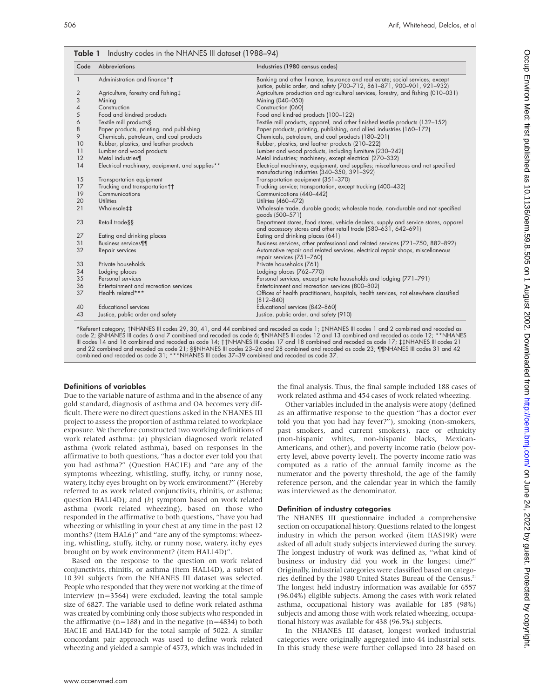| Code                      | Abbreviations                                   | Industries (1980 census codes)                                                                                                                          |  |  |  |  |
|---------------------------|-------------------------------------------------|---------------------------------------------------------------------------------------------------------------------------------------------------------|--|--|--|--|
| $\mathbf{1}$              | Administration and finance*1                    | Banking and other finance, Insurance and real estate; social services; except<br>justice, public order, and safety (700-712, 861-871, 900-901, 921-932) |  |  |  |  |
| 2                         | Agriculture, forestry and fishing‡              | Agriculture production and agricultural services, forestry, and fishing (010-031)                                                                       |  |  |  |  |
| $\ensuremath{\mathsf{3}}$ | Mining                                          | Mining (040-050)                                                                                                                                        |  |  |  |  |
| $\overline{4}$            | Construction                                    | Construction (060)                                                                                                                                      |  |  |  |  |
| 5                         | Food and kindred products                       | Food and kindred products (100-122)                                                                                                                     |  |  |  |  |
| 6                         | Textile mill products§                          | Textile mill products, apparel, and other finished textile products (132-152)                                                                           |  |  |  |  |
| 8                         | Paper products, printing, and publishing        | Paper products, printing, publishing, and allied industries (160-172)                                                                                   |  |  |  |  |
| 9                         | Chemicals, petroleum, and coal products         | Chemicals, petroleum, and coal products (180-201)                                                                                                       |  |  |  |  |
| 10                        | Rubber, plastics, and leather products          | Rubber, plastics, and leather products (210-222)                                                                                                        |  |  |  |  |
| 11                        | Lumber and wood products                        | Lumber and wood products, including furniture (230-242)                                                                                                 |  |  |  |  |
| 12                        | Metal industries¶                               | Metal industries; machinery, except electrical (270-332)                                                                                                |  |  |  |  |
| 14                        | Electrical machinery, equipment, and supplies** | Electrical machinery, equipment, and supplies; miscellaneous and not specified<br>manufacturing industries (340-350, 391-392)                           |  |  |  |  |
| 15                        | Transportation equipment                        | Transportation equipment (351-370)                                                                                                                      |  |  |  |  |
| 17                        | Trucking and transportation <sup>†</sup>        | Trucking service; transportation, except trucking (400-432)                                                                                             |  |  |  |  |
| 19                        | Communications                                  | Communications (440-442)                                                                                                                                |  |  |  |  |
| 20                        | <b>Utilities</b>                                | Utilities (460-472)                                                                                                                                     |  |  |  |  |
| 21                        | Wholesale##                                     | Wholesale trade, durable goods; wholesale trade, non-durable and not specified<br>goods (500-571)                                                       |  |  |  |  |
| 23                        | Retail trade§§                                  | Department stores, food stores, vehicle dealers, supply and service stores, apparel<br>and accessory stores and other retail trade (580-631, 642-691)   |  |  |  |  |
| 27                        | Eating and drinking places                      | Eating and drinking places (641)                                                                                                                        |  |  |  |  |
| 31                        | Business services¶¶                             | Business services, other professional and related services (721-750, 882-892)                                                                           |  |  |  |  |
| 32                        | Repair services                                 | Automotive repair and related services, electrical repair shops, miscellaneous<br>repair services (751-760)                                             |  |  |  |  |
| 33                        | Private households                              | Private households (761)                                                                                                                                |  |  |  |  |
| 34                        | Lodging places                                  | Lodging places (762-770)                                                                                                                                |  |  |  |  |
| 35                        | Personal services                               | Personal services, except private households and lodging (771-791)                                                                                      |  |  |  |  |
| 36                        | Entertainment and recreation services           | Entertainment and recreation services (800-802)                                                                                                         |  |  |  |  |
| 37                        | Health related***                               | Offices of health practitioners, hospitals, health services, not elsewhere classified<br>$(812 - 840)$                                                  |  |  |  |  |
| 40                        | <b>Educational services</b>                     | Educational services (842-860)                                                                                                                          |  |  |  |  |
| 43                        | Justice, public order and safety                | Justice, public order, and safety (910)                                                                                                                 |  |  |  |  |

\*Referent category; †NHANES III codes 29, 30, 41, and 44 combined and recoded as code 1; ‡NHANES III codes 1 and 2 combined and recoded as<br>code 2; §NHANES III codes 6 and 7 combined and recoded as code 6; ¶NHANES III codes and 22 combined and recoded as code 21; §§NHANES III codes 23–26 and 28 combined and recoded as code 23; ¶¶NHANES III codes 31 and 42<br>combined and recoded as code 31; \*\*\*NHANES III codes 37–39 combined and recoded as code

#### Definitions of variables

Due to the variable nature of asthma and in the absence of any gold standard, diagnosis of asthma and OA becomes very difficult. There were no direct questions asked in the NHANES III project to assess the proportion of asthma related to workplace exposure. We therefore constructed two working definitions of work related asthma: (*a*) physician diagnosed work related asthma (work related asthma), based on responses in the affirmative to both questions, "has a doctor ever told you that you had asthma?" (Question HAC1E) and "are any of the symptoms wheezing, whistling, stuffy, itchy, or runny nose, watery, itchy eyes brought on by work environment?" (Hereby referred to as work related conjunctivits, rhinitis, or asthma; question HAL14D); and (*b*) symptom based on work related asthma (work related wheezing), based on those who responded in the affirmative to both questions, "have you had wheezing or whistling in your chest at any time in the past 12 months? (item HAL6)" and "are any of the symptoms: wheezing, whistling, stuffy, itchy, or runny nose, watery, itchy eyes brought on by work environment? (item HAL14D)".

Based on the response to the question on work related conjunctivits, rhinitis, or asthma (item HAL14D), a subset of 10 391 subjects from the NHANES III dataset was selected. People who responded that they were not working at the time of interview (n=3564) were excluded, leaving the total sample size of 6827. The variable used to define work related asthma was created by combining only those subjects who responded in the affirmative ( $n=188$ ) and in the negative ( $n=4834$ ) to both HAC1E and HAL14D for the total sample of 5022. A similar concordant pair approach was used to define work related wheezing and yielded a sample of 4573, which was included in the final analysis. Thus, the final sample included 188 cases of work related asthma and 454 cases of work related wheezing.

Other variables included in the analysis were atopy (defined as an affirmative response to the question "has a doctor ever told you that you had hay fever?"), smoking (non-smokers, past smokers, and current smokers), race or ethnicity (non-hispanic whites, non-hispanic blacks, Mexican-Americans, and other), and poverty income ratio (below poverty level, above poverty level). The poverty income ratio was computed as a ratio of the annual family income as the numerator and the poverty threshold, the age of the family reference person, and the calendar year in which the family was interviewed as the denominator.

#### Definition of industry categories

The NHANES III questionnaire included a comprehensive section on occupational history. Questions related to the longest industry in which the person worked (item HAS19R) were asked of all adult study subjects interviewed during the survey. The longest industry of work was defined as, "what kind of business or industry did you work in the longest time?" Originally, industrial categories were classified based on categories defined by the 1980 United States Bureau of the Census.<sup>21</sup> The longest held industry information was available for 6557 (96.04%) eligible subjects. Among the cases with work related asthma, occupational history was available for 185 (98%) subjects and among those with work related wheezing, occupational history was available for 438 (96.5%) subjects.

In the NHANES III dataset, longest worked industrial categories were originally aggregated into 44 industrial sets. In this study these were further collapsed into 28 based on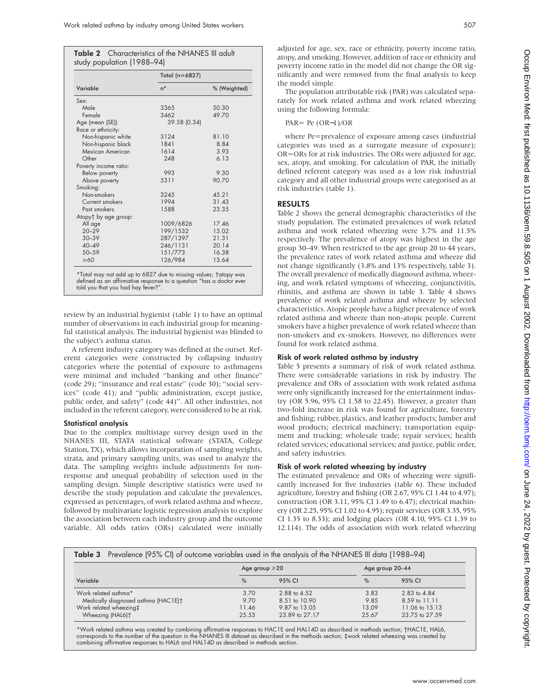| Table 2 Characteristics of the NHANES III adult |  |
|-------------------------------------------------|--|
| study population (1988-94)                      |  |

|                       | Total (n=6827) |              |  |  |  |
|-----------------------|----------------|--------------|--|--|--|
| Variable              | $n^*$          | % (Weighted) |  |  |  |
| Sex:                  |                |              |  |  |  |
| Male                  | 3365           | 50.30        |  |  |  |
| Female                | 3462           | 49.70        |  |  |  |
| Age (mean (SE))       | 39.58 (0.34)   |              |  |  |  |
| Race or ethnicity:    |                |              |  |  |  |
| Non-hispanic white    | 3124           | 81.10        |  |  |  |
| Non-hispanic black    | 1841           | 8.84         |  |  |  |
| Mexican American      | 1614           | 3.93         |  |  |  |
| Other                 | 248            | 6.13         |  |  |  |
| Poverty income ratio: |                |              |  |  |  |
| Below poverty         | 993            | 9.30         |  |  |  |
| Above poverty         | 5311           | 90.70        |  |  |  |
| Smoking:              |                |              |  |  |  |
| Non-smokers           | 3245           | 45.21        |  |  |  |
| Current smokers       | 1994           | 31.43        |  |  |  |
| Past smokers          | 1588           | 23.35        |  |  |  |
| Atopyt by age group:  |                |              |  |  |  |
| All age               | 1009/6826      | 17.46        |  |  |  |
| $20 - 29$             | 199/1532       | 13.02        |  |  |  |
| $30 - 39$             | 287/1397       | 21.31        |  |  |  |
| $40 - 49$             | 246/1131       | 20.14        |  |  |  |
| $50 - 59$             | 151/773        | 16.38        |  |  |  |
| $\geq 60$             | 126/984        | 13.64        |  |  |  |

review by an industrial hygienist (table 1) to have an optimal number of observations in each industrial group for meaningful statistical analysis. The industrial hygienist was blinded to the subject's asthma status.

A referent industry category was defined at the outset*.* Referent categories were constructed by collapsing industry categories where the potential of exposure to asthmagens were minimal and included "banking and other finance" (code 29); "insurance and real estate" (code 30); "social services" (code 41); and "public administration, except justice, public order, and safety" (code 44)". All other industries, not included in the referent category, were considered to be at risk.

#### Statistical analysis

Due to the complex multistage survey design used in the NHANES III, STATA statistical software (STATA, College Station, TX), which allows incorporation of sampling weights, strata, and primary sampling units, was used to analyze the data. The sampling weights include adjustments for nonresponse and unequal probability of selection used in the sampling design. Simple descriptive statistics were used to describe the study population and calculate the prevalences, expressed as percentages, of work related asthma and wheeze, followed by multivariate logistic regression analysis to explore the association between each industry group and the outcome variable. All odds ratios (ORs) calculated were initially

adjusted for age, sex, race or ethnicity, poverty income ratio, atopy, and smoking. However, addition of race or ethnicity and poverty income ratio in the model did not change the OR significantly and were removed from the final analysis to keep the model simple.

The population attributable risk (PAR) was calculated separately for work related asthma and work related wheezing using the following formula:

PAR= Pe (OR−1)/OR

where Pe=prevalence of exposure among cases (industrial categories was used as a surrogate measure of exposure); OR=ORs for at risk industries. The ORs were adjusted for age, sex, atopy, and smoking. For calculation of PAR, the initially defined referent category was used as a low risk industrial category and all other industrial groups were categorised as at risk industries (table 1).

## RESULTS

Table 2 shows the general demographic characteristics of the study population. The estimated prevalences of work related asthma and work related wheezing were 3.7% and 11.5% respectively. The prevalence of atopy was highest in the age group 30–49. When restricted to the age group 20 to 44 years, the prevalence rates of work related asthma and wheeze did not change significantly (3.8% and 13% respectively, table 3). The overall prevalence of medically diagnosed asthma, wheezing, and work related symptoms of wheezing, conjunctivitis, rhinitis, and asthma are shown in table 3. Table 4 shows prevalence of work related asthma and wheeze by selected characteristics. Atopic people have a higher prevalence of work related asthma and wheeze than non-atopic people. Current smokers have a higher prevalence of work related wheeze than non-smokers and ex-smokers. However, no differences were found for work related asthma.

#### Risk of work related asthma by industry

Table 5 presents a summary of risk of work related asthma. There were considerable variations in risk by industry. The prevalence and ORs of association with work related asthma were only significantly increased for the entertainment industry (OR 5.96, 95% CI 1.58 to 22.45). However, a greater than two-fold increase in risk was found for agriculture, forestry and fishing; rubber, plastics, and leather products; lumber and wood products; electrical machinery; transportation equipment and trucking; wholesale trade; repair services; health related services; educational services; and justice, public order, and safety industries.

#### Risk of work related wheezing by industry

The estimated prevalence and ORs of wheezing were significantly increased for five industries (table 6). These included agriculture, forestry and fishing (OR 2.67, 95% CI 1.44 to 4.97); construction (OR 3.11, 95% CI 1.49 to 6.47); electrical machinery (OR 2.25, 95% CI 1.02 to 4.95); repair services (OR 3.35, 95% CI 1.35 to 8.33); and lodging places (OR 4.10, 95% CI 1.39 to 12.114). The odds of association with work related wheezing

| Table 3 Prevalence (95% CI) of outcome variables used in the analysis of the NHANES III data (1988–94) |                     |                |                 |                |  |  |  |
|--------------------------------------------------------------------------------------------------------|---------------------|----------------|-----------------|----------------|--|--|--|
|                                                                                                        | Age group $\geq 20$ |                | Age group 20-44 |                |  |  |  |
| Variable                                                                                               | $\%$                | 95% CI         | $\%$            | 95% CI         |  |  |  |
| Work related asthma*                                                                                   | 3.70                | 2.88 to 4.52   | 3.83            | 2.83 to 4.84   |  |  |  |
| Medically diagnosed asthma (HAC1E)+                                                                    | 9.70                | 8.51 to 10.90  | 9.85            | 8.59 to 11.11  |  |  |  |
| Work related wheezing‡                                                                                 | 11.46               | 9.87 to 13.05  | 13.09           | 11.06 to 15.13 |  |  |  |
| Wheezing (HAL6) <sup>+</sup>                                                                           | 25.53               | 23.89 to 27.17 | 25.67           | 23.75 to 27.59 |  |  |  |

\*Work related asthma was created by combining affirmative responses to HAC1E and HAL14D as described in methods section; †HAC1E, HAL6, corresponds to the number of the question in the NHANES III dataset as described in the methods section; ‡work related wheezing was created by combining affirmative responses to HAL6 and HAL14D as described in methods section.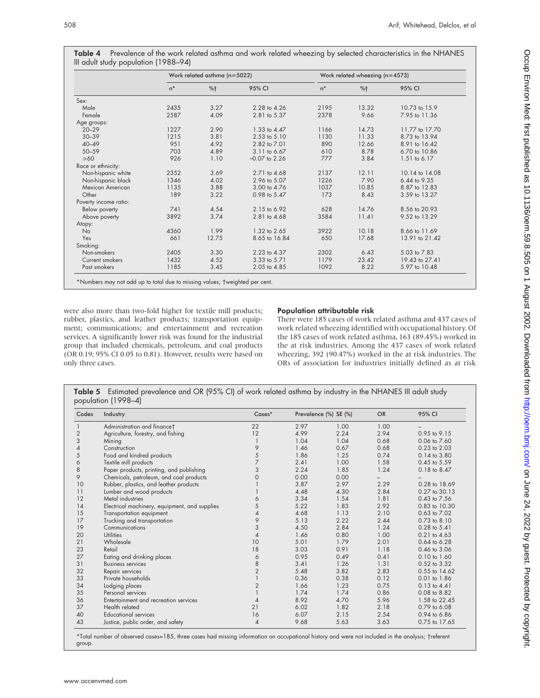|                       | Work related asthma (n=5022) |       |                 | Work related wheezing (n=4573) |       |                |  |
|-----------------------|------------------------------|-------|-----------------|--------------------------------|-------|----------------|--|
|                       | $n^*$                        | $%$ † | 95% CI          | $n^*$                          | $%$ † | 95% CI         |  |
| Sex:                  |                              |       |                 |                                |       |                |  |
| Male                  | 2435                         | 3.27  | 2.28 to 4.26    | 2195                           | 13.32 | 10.73 to 15.9  |  |
| Female                | 2587                         | 4.09  | 2.81 to 5.37    | 2378                           | 9.66  | 7.95 to 11.36  |  |
| Age groups:           |                              |       |                 |                                |       |                |  |
| $20 - 29$             | 1227                         | 2.90  | 1.33 to 4.47    | 1166                           | 14.73 | 11.77 to 17.70 |  |
| $30 - 39$             | 1215                         | 3.81  | 2.53 to 5.10    | 1130                           | 11.33 | 8.73 to 13.94  |  |
| $40 - 49$             | 951                          | 4.92  | 2.82 to 7.01    | 890                            | 12.66 | 8.91 to 16.42  |  |
| $50 - 59$             | 703                          | 4.89  | 3.11 to 6.67    | 610                            | 8.78  | 6.70 to 10.86  |  |
| $\geq 60$             | 926                          | 1.10  | $-0.07$ to 2.26 | 777                            | 3.84  | 1.51 to 6.17   |  |
| Race or ethnicity:    |                              |       |                 |                                |       |                |  |
| Non-hispanic white    | 2352                         | 3.69  | 2.71 to 4.68    | 2137                           | 12.11 | 10.14 to 14.08 |  |
| Non-hispanic black    | 1346                         | 4.02  | 2.96 to 5.07    | 1226                           | 7.90  | 6.44 to 9.35   |  |
| Mexican American      | 1135                         | 3.88  | 3.00 to 4.76    | 1037                           | 10.85 | 8.87 to 12.83  |  |
| Other                 | 189                          | 3.22  | 0.98 to 5.47    | 173                            | 8.43  | 3.59 to 13.27  |  |
| Poverty income ratio: |                              |       |                 |                                |       |                |  |
| Below poverty         | 741                          | 4.54  | 2.15 to 6.92    | 628                            | 14.76 | 8.56 to 20.93  |  |
| Above poverty         | 3892                         | 3.74  | 2.81 to 4.68    | 3584                           | 11.41 | 9.52 to 13.29  |  |
| Atopy:                |                              |       |                 |                                |       |                |  |
| <b>No</b>             | 4360                         | 1.99  | 1.32 to 2.65    | 3922                           | 10.18 | 8.66 to 11.69  |  |
| Yes                   | 661                          | 12.75 | 8.65 to 16.84   | 650                            | 17.68 | 13.91 to 21.42 |  |
| Smoking:              |                              |       |                 |                                |       |                |  |
| Non-smokers           | 2405                         | 3.30  | 2.23 to 4.37    | 2302                           | 6.43  | 5.03 to 7.83   |  |
| Current smokers       | 1432                         | 4.52  | 3.33 to 5.71    | 1179                           | 23.42 | 19.43 to 27.41 |  |
| Past smokers          | 1185                         | 3.45  | 2.05 to 4.85    | 1092                           | 8.22  | 5.97 to 10.48  |  |

Table 4 Prevalence of the work related asthma and work related wheezing by selected characteristics in the NHANES III adult study population (1988–94)

were also more than two-fold higher for textile mill products; rubber, plastics, and leather products; transportation equipment; communications; and entertainment and recreation services. A significantly lower risk was found for the industrial group that included chemicals, petroleum, and coal products (OR 0.19; 95% CI 0.05 to 0.81). However, results were based on only three cases.

# Population attributable risk

There were 185 cases of work related asthma and 437 cases of work related wheezing identified with occupational history. Of the 185 cases of work related asthma, 163 (89.45%) worked in the at risk industries. Among the 437 cases of work related wheezing, 392 (90.47%) worked in the at risk industries. The ORs of association for industries initially defined as at risk

Table 5 Estimated prevalence and OR (95% CI) of work related asthma by industry in the NHANES III adult study population (1998–4)

| Codes          | Industry                                      | $\text{Cases}^*$ | Prevalence (%) SE (%) |      | <b>OR</b> | 95% CI           |
|----------------|-----------------------------------------------|------------------|-----------------------|------|-----------|------------------|
|                | Administration and financet                   | 22               | 2.97                  | 1.00 | 1.00      |                  |
| $\overline{2}$ | Agriculture, forestry, and fishing            | 12               | 4.99                  | 2.24 | 2.94      | 0.95 to 9.15     |
| 3              | Mining                                        |                  | 1.04                  | 1.04 | 0.68      | 0.06 to 7.60     |
| $\pmb{4}$      | Construction                                  | 9                | 1.46                  | 0.67 | 0.68      | 0.23 to 2.03     |
| 5              | Food and kindred products                     | 5                | 1.86                  | 1.25 | 0.74      | 0.14 to 3.80     |
| 6              | Textile mill products                         | 7                | 2.41                  | 1.00 | 1.58      | 0.45 to 5.59     |
| 8              | Paper products, printing, and publishing      | 3                | 2.24                  | 1.85 | 1.24      | 0.18 to 8.47     |
| 9              | Chemicals, petroleum, and coal products       | 0                | 0.00                  | 0.00 |           |                  |
| 10             | Rubber, plastics, and leather products        |                  | 3.87                  | 2.97 | 2.29      | 0.28 to 18.69    |
| 11             | Lumber and wood products                      |                  | 4.48                  | 4.30 | 2.84      | 0.27 to 30.13    |
| 12             | Metal industries                              | 6                | 3.34                  | 1.54 | 1.81      | 0.43 to 7.56     |
| 14             | Electrical machinery, equipment, and supplies | 5                | 5.22                  | 1.83 | 2.92      | 0.83 to 10.30    |
| 15             | Transportation equipment                      | 4                | 4.68                  | 1.13 | 2.10      | 0.63 to 7.02     |
| 17             | Trucking and transportation                   | 9                | 5.13                  | 2.22 | 2.44      | 0.73 to 8.10     |
| 19             | Communications                                | 3                | 4.50                  | 2.84 | 1.24      | 0.28 to 5.41     |
| 20             | <b>Utilities</b>                              | 4                | 1.46                  | 0.80 | 1.00      | 0.21 to 4.63     |
| 21             | Wholesale                                     | 10               | 5.01                  | 1.79 | 2.01      | 0.64 to 6.28     |
| 23             | Retail                                        | 18               | 3.03                  | 0.91 | 1.18      | 0.46 to 3.06     |
| 27             | Eating and drinking places                    | 6                | 0.95                  | 0.49 | 0.41      | 0.10 to 1.60     |
| 31             | <b>Business services</b>                      | 8                | 3.41                  | 1.26 | 1.31      | 0.52 to 3.32     |
| 32             | Repair services                               | $\overline{2}$   | 5.48                  | 3.82 | 2.83      | 0.55 to 14.62    |
| 33             | Private households                            |                  | 0.36                  | 0.38 | 0.12      | 0.01 to 1.86     |
| 34             | Lodging places                                | $\overline{2}$   | 1.66                  | 1.23 | 0.75      | $0.13$ to $4.41$ |
| 35             | Personal services                             |                  | 1.74                  | 1.74 | 0.86      | 0.08 to 8.82     |
| 36             | Entertainment and recreation services         | 4                | 8.92                  | 4.70 | 5.96      | 1.58 to 22.45    |
| 37             | Health related                                | 21               | 6.02                  | 1.82 | 2.18      | 0.79 to 6.08     |
| 40             | <b>Educational services</b>                   | 16               | 6.07                  | 2.15 | 2.54      | 0.94 to 6.86     |
| 43             | Justice, public order, and safety             | $\overline{4}$   | 9.68                  | 5.63 | 3.63      | 0.75 to 17.65    |

\*Total number of observed cases=185, three cases had missing information on occupational history and were not included in the analysis; †referent group.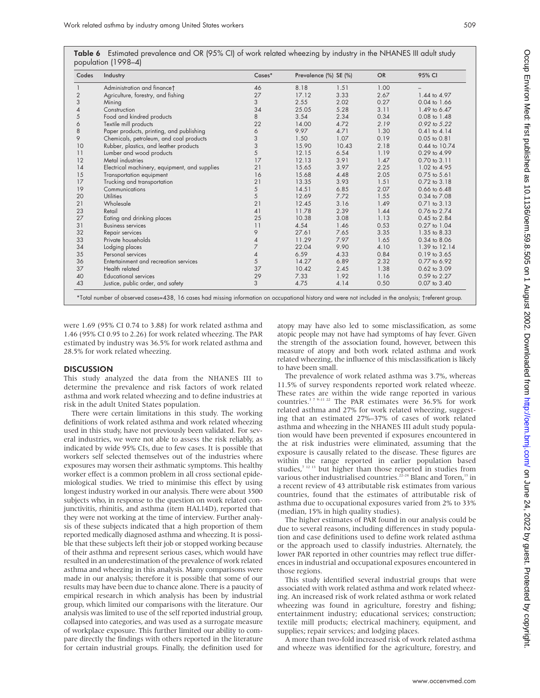Table 6 Estimated prevalence and OR (95% CI) of work related wheezing by industry in the NHANES III adult study population (1998–4)

| Codes          | Industry<br>Administration and financet       | $\text{Cases}^*$ | Prevalence (%) SE (%) |       | <b>OR</b> | 95% CI           |  |
|----------------|-----------------------------------------------|------------------|-----------------------|-------|-----------|------------------|--|
|                |                                               | 46               | 8.18                  | 1.51  | 1.00      |                  |  |
| $\overline{2}$ | Agriculture, forestry, and fishing            | 27               | 17.12                 | 3.33  | 2.67      | 1.44 to 4.97     |  |
| 3              | Mining                                        | 3                | 2.55                  | 2.02  | 0.27      | 0.04 to 1.66     |  |
| 4              | Construction                                  | 34               | 25.05                 | 5.28  | 3.11      | 1.49 to 6.47     |  |
| 5              | Food and kindred products                     | 8                | 3.54                  | 2.34  | 0.34      | 0.08 to 1.48     |  |
| 6              | Textile mill products                         | 22               | 14.00                 | 4.72  | 2.19      | 0.92 to 5.22     |  |
| 8              | Paper products, printing, and publishing      | 6                | 9.97                  | 4.71  | 1.30      | 0.41 to 4.14     |  |
| 9              | Chemicals, petroleum, and coal products       | 3                | 1.50                  | 1.07  | 0.19      | $0.05$ to $0.81$ |  |
| 10             | Rubber, plastics, and leather products        | 3                | 15.90                 | 10.43 | 2.18      | 0.44 to 10.74    |  |
| 11             | Lumber and wood products                      | 5                | 12.15                 | 6.54  | 1.19      | 0.29 to 4.99     |  |
| 12             | Metal industries                              | 17               | 12.13                 | 3.91  | 1.47      | $0.70$ to $3.11$ |  |
| 14             | Electrical machinery, equipment, and supplies | 21               | 15.65                 | 3.97  | 2.25      | 1.02 to 4.95     |  |
| 15             | Transportation equipment                      | 16               | 15.68                 | 4.48  | 2.05      | 0.75 to 5.61     |  |
| 17             | Trucking and transportation                   | 21               | 13.35                 | 3.93  | 1.51      | 0.72 to 3.18     |  |
| 19             | Communications                                | 5                | 14.51                 | 6.85  | 2.07      | 0.66 to 6.48     |  |
| 20             | <b>Utilities</b>                              | 5                | 12.69                 | 7.72  | 1.55      | 0.34 to 7.08     |  |
| 21             | Wholesale                                     | 21               | 12.45                 | 3.16  | 1.49      | 0.71 to 3.13     |  |
| 23             | Retail                                        | 41               | 11.78                 | 2.39  | 1.44      | 0.76 to 2.74     |  |
| 27             | Eating and drinking places                    | 25               | 10.38                 | 3.08  | 1.13      | 0.45 to 2.84     |  |
| 31             | <b>Business services</b>                      | 11               | 4.54                  | 1.46  | 0.53      | 0.27 to 1.04     |  |
| 32             | Repair services                               | 9                | 27.61                 | 7.65  | 3.35      | 1.35 to 8.33     |  |
| 33             | Private households                            | 4                | 11.29                 | 7.97  | 1.65      | 0.34 to 8.06     |  |
| 34             | Lodging places                                | 7                | 22.04                 | 9.90  | 4.10      | 1.39 to 12.14    |  |
| 35             | Personal services                             | 4                | 6.59                  | 4.33  | 0.84      | 0.19 to 3.65     |  |
| 36             | Entertainment and recreation services         | 5                | 14.27                 | 6.89  | 2.32      | 0.77 to 6.92     |  |
| 37             | Health related                                | 37               | 10.42                 | 2.45  | 1.38      | 0.62 to 3.09     |  |
| 40             | <b>Educational services</b>                   | 29               | 7.33                  | 1.92  | 1.16      | 0.59 to 2.27     |  |
| 43             | Justice, public order, and safety             | 3                | 4.75                  | 4.14  | 0.50      | 0.07 to 3.40     |  |

were 1.69 (95% CI 0.74 to 3.88) for work related asthma and 1.46 (95% CI 0.95 to 2.26) for work related wheezing. The PAR estimated by industry was 36.5% for work related asthma and 28.5% for work related wheezing.

#### **DISCUSSION**

This study analyzed the data from the NHANES III to determine the prevalence and risk factors of work related asthma and work related wheezing and to define industries at risk in the adult United States population.

There were certain limitations in this study. The working definitions of work related asthma and work related wheezing used in this study, have not previously been validated. For several industries, we were not able to assess the risk reliably, as indicated by wide 95% CIs, due to few cases. It is possible that workers self selected themselves out of the industries where exposures may worsen their asthmatic symptoms. This healthy worker effect is a common problem in all cross sectional epidemiological studies. We tried to minimise this effect by using longest industry worked in our analysis. There were about 3500 subjects who, in response to the question on work related conjunctivitis, rhinitis, and asthma (item HAL14D), reported that they were not working at the time of interview. Further analysis of these subjects indicated that a high proportion of them reported medically diagnosed asthma and wheezing. It is possible that these subjects left their job or stopped working because of their asthma and represent serious cases, which would have resulted in an underestimation of the prevalence of work related asthma and wheezing in this analysis. Many comparisons were made in our analysis; therefore it is possible that some of our results may have been due to chance alone. There is a paucity of empirical research in which analysis has been by industrial group, which limited our comparisons with the literature. Our analysis was limited to use of the self reported industrial group, collapsed into categories, and was used as a surrogate measure of workplace exposure. This further limited our ability to compare directly the findings with others reported in the literature for certain industrial groups. Finally, the definition used for atopy may have also led to some misclassification, as some atopic people may not have had symptoms of hay fever. Given the strength of the association found, however, between this measure of atopy and both work related asthma and work related wheezing, the influence of this misclassification is likely to have been small.

The prevalence of work related asthma was 3.7%, whereas 11.5% of survey respondents reported work related wheeze. These rates are within the wide range reported in various countries.<sup>3 7 9–11 22</sup> The PAR estimates were 36.5% for work related asthma and 27% for work related wheezing, suggesting that an estimated 27%–37% of cases of work related asthma and wheezing in the NHANES III adult study population would have been prevented if exposures encountered in the at risk industries were eliminated, assuming that the exposure is causally related to the disease. These figures are within the range reported in earlier population based studies,<sup>7 12 13</sup> but higher than those reported in studies from various other industrialised countries.<sup>22–24</sup> Blanc and Toren,<sup>13</sup> in a recent review of 43 attributable risk estimates from various countries, found that the estimates of attributable risk of asthma due to occupational exposures varied from 2% to 33% (median, 15% in high quality studies).

The higher estimates of PAR found in our analysis could be due to several reasons, including differences in study population and case definitions used to define work related asthma or the approach used to classify industries. Alternately, the lower PAR reported in other countries may reflect true differences in industrial and occupational exposures encountered in those regions.

This study identified several industrial groups that were associated with work related asthma and work related wheezing. An increased risk of work related asthma or work related wheezing was found in agriculture, forestry and fishing; entertainment industry; educational services; construction; textile mill products; electrical machinery, equipment, and supplies; repair services; and lodging places.

A more than two-fold increased risk of work related asthma and wheeze was identified for the agriculture, forestry, and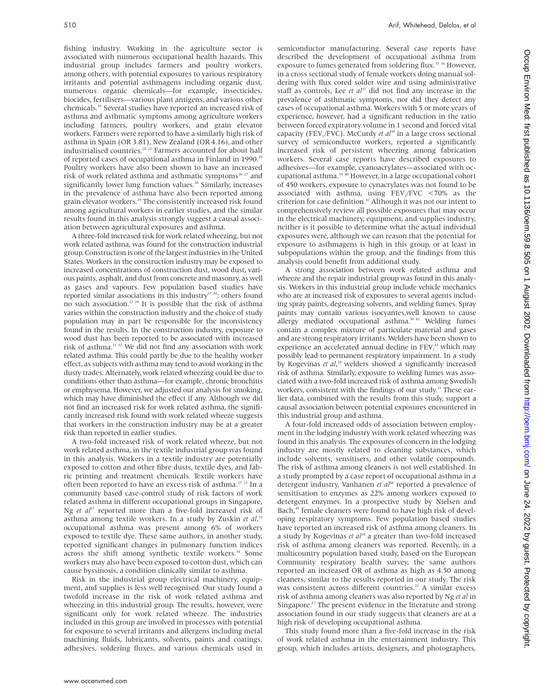fishing industry. Working in the agriculture sector is associated with numerous occupational health hazards. This industrial group includes farmers and poultry workers, among others, with potential exposures to various respiratory irritants and potential asthmagens including organic dust, numerous organic chemicals—for example, insecticides, biocides, fertilisers—various plant antigens, and various other chemicals.16 Several studies have reported an increased risk of asthma and asthmatic symptoms among agriculture workers including farmers, poultry workers, and grain elevator workers. Farmers were reported to have a similarly high risk of asthma in Spain (OR 3.81), New Zealand (OR 4.16), and other industrialised countries.<sup>10 22</sup> Farmers accounted for about half of reported cases of occupational asthma in Finland in 1990.<sup>25</sup> Poultry workers have also been shown to have an increased risk of work related asthma and asthmatic symptoms<sup>26 27</sup> and significantly lower lung function values.<sup>28</sup> Similarly, increases in the prevalence of asthma have also been reported among grain elevator workers.<sup>29</sup> The consistently increased risk found among agricultural workers in earlier studies, and the similar results found in this analysis strongly suggest a causal association between agricultural exposures and asthma.

A three-fold increased risk for work related wheezing, but not work related asthma, was found for the construction industrial group. Construction is one of the largest industries in the United States. Workers in the construction industry may be exposed to increased concentrations of construction dust, wood dust, various paints, asphalt, and dust from concrete and masonry, as well as gases and vapours. Few population based studies have reported similar associations in this industry<sup>17 30</sup>; others found no such association.22 24 It is possible that the risk of asthma varies within the construction industry and the choice of study population may in part be responsible for the inconsistency found in the results. In the construction industry, exposure to wood dust has been reported to be associated with increased risk of asthma.<sup>31 32</sup> We did not find any association with work related asthma. This could partly be due to the healthy worker effect, as subjects with asthma may tend to avoid working in the dusty trades. Alternately, work related wheezing could be due to conditions other than asthma—for example, chronic bronchitis or emphysema. However, we adjusted our analysis for smoking, which may have diminished the effect if any. Although we did not find an increased risk for work related asthma, the significantly increased risk found with work related wheeze suggests that workers in the construction industry may be at a greater risk than reported in earlier studies.

A two-fold increased risk of work related wheeze, but not work related asthma, in the textile industrial group was found in this analysis. Workers in a textile industry are potentially exposed to cotton and other fibre dusts, textile dyes, and fabric printing and treatment chemicals. Textile workers have often been reported to have an excess risk of asthma.17 23 In a community based case-control study of risk factors of work related asthma in different occupational groups in Singapore, Ng *et al*<sup>17</sup> reported more than a five-fold increased risk of asthma among textile workers. In a study by Zuskin *et al*,<sup>33</sup> occupational asthma was present among 6% of workers exposed to textile dye. These same authors, in another study, reported significant changes in pulmonary function indices across the shift among synthetic textile workers.<sup>34</sup> Some workers may also have been exposed to cotton dust, which can cause byssinosis, a condition clinically similar to asthma.

Risk in the industrial group electrical machinery, equipment, and supplies is less well recognised. Our study found a twofold increase in the risk of work related asthma and wheezing in this industrial group. The results, however, were significant only for work related wheeze. The industries included in this group are involved in processes with potential for exposure to several irritants and allergens including metal machining fluids, lubricants, solvents, paints and coatings, adhesives, soldering fluxes, and various chemicals used in

semiconductor manufacturing. Several case reports have described the development of occupational asthma from exposure to fumes generated from soldering flux.<sup>35</sup> <sup>36</sup> However, in a cross sectional study of female workers doing manual soldering with flux cored solder wire and using administrative staff as controls, Lee *et al*<sup>37</sup> did not find any increase in the prevalence of asthmatic symptoms, nor did they detect any cases of occupational asthma. Workers with 5 or more years of experience, however, had a significant reduction in the ratio between forced expiratory volume in 1 second and forced vital capacity (FEV<sub>1</sub>/FVC). McCurdy *et al*<sup>38</sup> in a large cross sectional survey of semiconductor workers, reported a significantly increased risk of persistent wheezing among fabrication workers. Several case reports have described exposures to adhesives—for example, cyanoacrylates—associated with occupational asthma.<sup>39 40</sup> However, in a large occupational cohort of 450 workers, exposure to cynacrylates was not found to be associated with asthma, using  $FEV/FVC$  <70% as the criterion for case definition.<sup>41</sup> Although it was not our intent to comprehensively review all possible exposures that may occur in the electrical machinery, equipment, and supplies industry, neither is it possible to determine what the actual individual exposures were, although we can reason that the potential for exposure to asthmagens is high in this group, or at least in subpopulations within the group, and the findings from this analysis could benefit from additional study.

A strong association between work related asthma and wheeze and the repair industrial group was found in this analysis. Workers in this industrial group include vehicle mechanics who are at increased risk of exposures to several agents including spray paints, degreasing solvents, and welding fumes. Spray paints may contain various isocyantes,well known to cause allergy mediated occupational asthma.<sup>30 42</sup> Welding fumes contain a complex mixture of particulate material and gases and are strong respiratory irritants.Welders have been shown to experience an accelerated annual decline in  $FEV<sub>1</sub><sup>43</sup>$  which may possibly lead to permanent respiratory impairment. In a study by Kogevinas *et al*, <sup>10</sup> welders showed a significantly increased risk of asthma. Similarly, exposure to welding fumes was associated with a two-fold increased risk of asthma among Swedish workers, consistent with the findings of our study.<sup>23</sup> These earlier data, combined with the results from this study, support a causal association between potential exposures encountered in this industrial group and asthma.

A four-fold increased odds of association between employment in the lodging industry with work related wheezing was found in this analysis. The exposures of concern in the lodging industry are mostly related to cleaning substances, which include solvents, sensitisers, and other volatile compounds. The risk of asthma among cleaners is not well established. In a study prompted by a case report of occupational asthma in a detergent industry, Vanhanen et al<sup>44</sup> reported a prevalence of sensitisation to enzymes as 22% among workers exposed to detergent enzymes. In a prospective study by Nielsen and Bach,<sup>45</sup> female cleaners were found to have high risk of developing respiratory symptoms. Few population based studies have reported an increased risk of asthma among cleaners. In a study by Kogevinas *et al*<sup>10</sup> a greater than two-fold increased risk of asthma among cleaners was reported. Recently, in a multicountry population based study, based on the European Community respiratory health survey, the same authors reported an increased OR of asthma as high as 4.50 among cleaners, similar to the results reported in our study. The risk was consistent across different countries.<sup>22</sup> A similar excess risk of asthma among cleaners was also reported by Ng *et al* in Singapore.17 The present evidence in the literature and strong association found in our study suggests that cleaners are at a high risk of developing occupational asthma.

This study found more than a five-fold increase in the risk of work related asthma in the entertainment industry. This group, which includes artists, designers, and photographers,